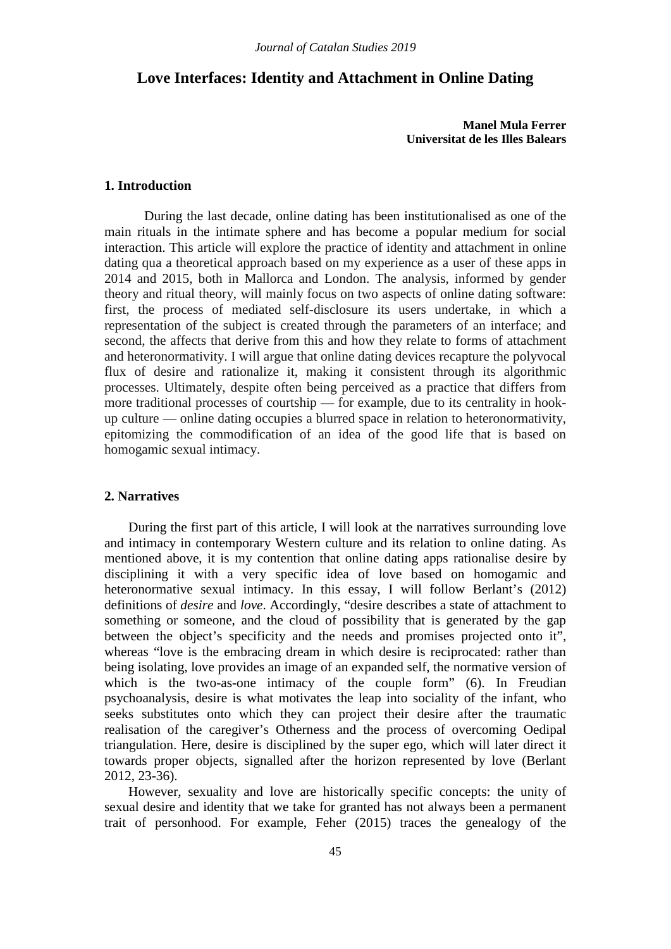# **Love Interfaces: Identity and Attachment in Online Dating**

**Manel Mula Ferrer Universitat de les Illes Balears**

## **1. Introduction**

During the last decade, online dating has been institutionalised as one of the main rituals in the intimate sphere and has become a popular medium for social interaction. This article will explore the practice of identity and attachment in online dating qua a theoretical approach based on my experience as a user of these apps in 2014 and 2015, both in Mallorca and London. The analysis, informed by gender theory and ritual theory, will mainly focus on two aspects of online dating software: first, the process of mediated self-disclosure its users undertake, in which a representation of the subject is created through the parameters of an interface; and second, the affects that derive from this and how they relate to forms of attachment and heteronormativity. I will argue that online dating devices recapture the polyvocal flux of desire and rationalize it, making it consistent through its algorithmic processes. Ultimately, despite often being perceived as a practice that differs from more traditional processes of courtship — for example, due to its centrality in hookup culture — online dating occupies a blurred space in relation to heteronormativity, epitomizing the commodification of an idea of the good life that is based on homogamic sexual intimacy.

#### **2. Narratives**

During the first part of this article, I will look at the narratives surrounding love and intimacy in contemporary Western culture and its relation to online dating. As mentioned above, it is my contention that online dating apps rationalise desire by disciplining it with a very specific idea of love based on homogamic and heteronormative sexual intimacy. In this essay, I will follow Berlant's (2012) definitions of *desire* and *love*. Accordingly, "desire describes a state of attachment to something or someone, and the cloud of possibility that is generated by the gap between the object's specificity and the needs and promises projected onto it", whereas "love is the embracing dream in which desire is reciprocated: rather than being isolating, love provides an image of an expanded self, the normative version of which is the two-as-one intimacy of the couple form" (6). In Freudian psychoanalysis, desire is what motivates the leap into sociality of the infant, who seeks substitutes onto which they can project their desire after the traumatic realisation of the caregiver's Otherness and the process of overcoming Oedipal triangulation. Here, desire is disciplined by the super ego, which will later direct it towards proper objects, signalled after the horizon represented by love (Berlant 2012, 23-36).

However, sexuality and love are historically specific concepts: the unity of sexual desire and identity that we take for granted has not always been a permanent trait of personhood. For example, Feher (2015) traces the genealogy of the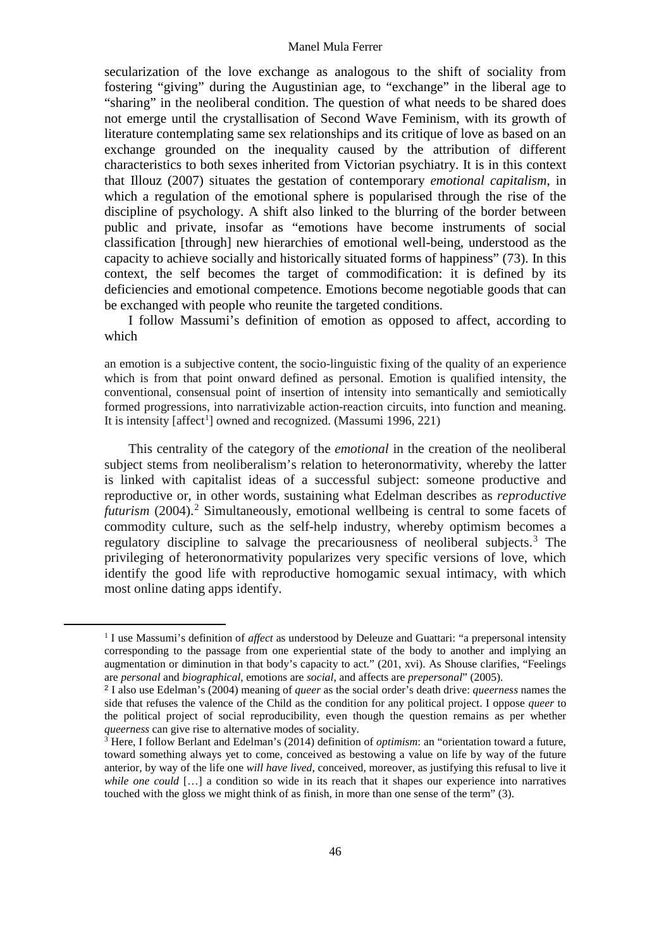#### Manel Mula Ferrer

secularization of the love exchange as analogous to the shift of sociality from fostering "giving" during the Augustinian age, to "exchange" in the liberal age to "sharing" in the neoliberal condition. The question of what needs to be shared does not emerge until the crystallisation of Second Wave Feminism, with its growth of literature contemplating same sex relationships and its critique of love as based on an exchange grounded on the inequality caused by the attribution of different characteristics to both sexes inherited from Victorian psychiatry. It is in this context that Illouz (2007) situates the gestation of contemporary *emotional capitalism*, in which a regulation of the emotional sphere is popularised through the rise of the discipline of psychology. A shift also linked to the blurring of the border between public and private, insofar as "emotions have become instruments of social classification [through] new hierarchies of emotional well-being, understood as the capacity to achieve socially and historically situated forms of happiness" (73). In this context, the self becomes the target of commodification: it is defined by its deficiencies and emotional competence. Emotions become negotiable goods that can be exchanged with people who reunite the targeted conditions.

I follow Massumi's definition of emotion as opposed to affect, according to which

an emotion is a subjective content, the socio-linguistic fixing of the quality of an experience which is from that point onward defined as personal. Emotion is qualified intensity, the conventional, consensual point of insertion of intensity into semantically and semiotically formed progressions, into narrativizable action-reaction circuits, into function and meaning. It is intensity [affect<sup>[1](#page-1-0)</sup>] owned and recognized. (Massumi 1996, 221)

This centrality of the category of the *emotional* in the creation of the neoliberal subject stems from neoliberalism's relation to heteronormativity, whereby the latter is linked with capitalist ideas of a successful subject: someone productive and reproductive or, in other words, sustaining what Edelman describes as *reproductive futurism* (2004). [2](#page-1-1) Simultaneously, emotional wellbeing is central to some facets of commodity culture, such as the self-help industry, whereby optimism becomes a regulatory discipline to salvage the precariousness of neoliberal subjects.<sup>[3](#page-1-2)</sup> The privileging of heteronormativity popularizes very specific versions of love, which identify the good life with reproductive homogamic sexual intimacy, with which most online dating apps identify.

<span id="page-1-1"></span><span id="page-1-0"></span>-

<sup>1</sup> I use Massumi's definition of *affect* as understood by Deleuze and Guattari: "a prepersonal intensity corresponding to the passage from one experiential state of the body to another and implying an augmentation or diminution in that body's capacity to act." (201, xvi). As Shouse clarifies, "Feelings are *personal* and *biographical*, emotions are *social*, and affects are *prepersonal*" (2005).

<sup>2</sup> I also use Edelman's (2004) meaning of *queer* as the social order's death drive: *queerness* names the side that refuses the valence of the Child as the condition for any political project. I oppose *queer* to the political project of social reproducibility, even though the question remains as per whether *queerness* can give rise to alternative modes of sociality.

<span id="page-1-2"></span><sup>&</sup>lt;sup>3</sup> Here, I follow Berlant and Edelman's (2014) definition of *optimism*: an "orientation toward a future, toward something always yet to come, conceived as bestowing a value on life by way of the future anterior, by way of the life one *will have lived*, conceived, moreover, as justifying this refusal to live it *while one could* [...] a condition so wide in its reach that it shapes our experience into narratives touched with the gloss we might think of as finish, in more than one sense of the term" (3).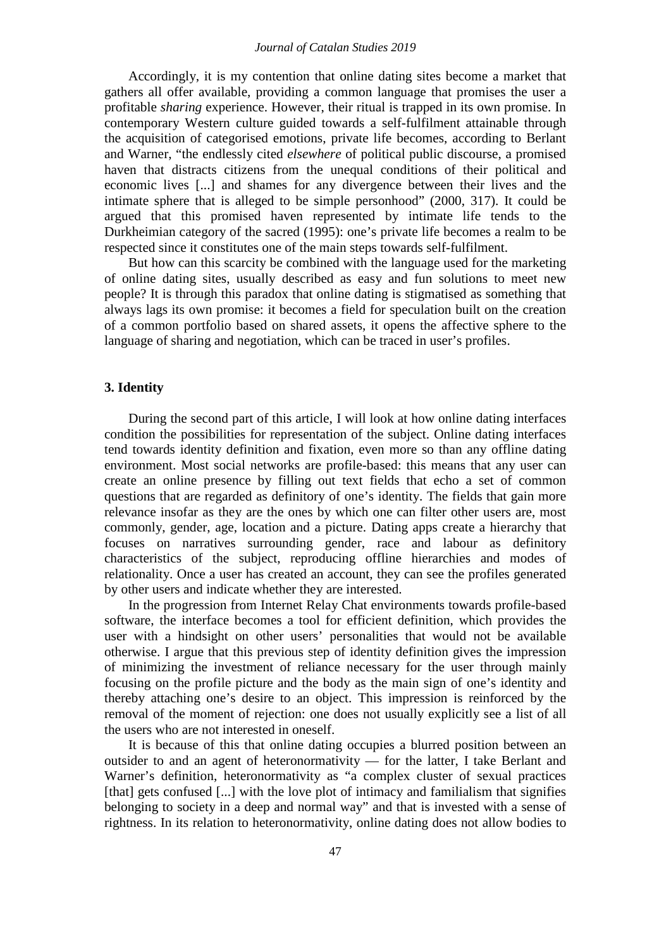### *Journal of Catalan Studies 2019*

Accordingly, it is my contention that online dating sites become a market that gathers all offer available, providing a common language that promises the user a profitable *sharing* experience. However, their ritual is trapped in its own promise. In contemporary Western culture guided towards a self-fulfilment attainable through the acquisition of categorised emotions, private life becomes, according to Berlant and Warner, "the endlessly cited *elsewhere* of political public discourse, a promised haven that distracts citizens from the unequal conditions of their political and economic lives [...] and shames for any divergence between their lives and the intimate sphere that is alleged to be simple personhood" (2000, 317). It could be argued that this promised haven represented by intimate life tends to the Durkheimian category of the sacred (1995): one's private life becomes a realm to be respected since it constitutes one of the main steps towards self-fulfilment.

But how can this scarcity be combined with the language used for the marketing of online dating sites, usually described as easy and fun solutions to meet new people? It is through this paradox that online dating is stigmatised as something that always lags its own promise: it becomes a field for speculation built on the creation of a common portfolio based on shared assets, it opens the affective sphere to the language of sharing and negotiation, which can be traced in user's profiles.

# **3. Identity**

During the second part of this article, I will look at how online dating interfaces condition the possibilities for representation of the subject. Online dating interfaces tend towards identity definition and fixation, even more so than any offline dating environment. Most social networks are profile-based: this means that any user can create an online presence by filling out text fields that echo a set of common questions that are regarded as definitory of one's identity. The fields that gain more relevance insofar as they are the ones by which one can filter other users are, most commonly, gender, age, location and a picture. Dating apps create a hierarchy that focuses on narratives surrounding gender, race and labour as definitory characteristics of the subject, reproducing offline hierarchies and modes of relationality. Once a user has created an account, they can see the profiles generated by other users and indicate whether they are interested.

In the progression from Internet Relay Chat environments towards profile-based software, the interface becomes a tool for efficient definition, which provides the user with a hindsight on other users' personalities that would not be available otherwise. I argue that this previous step of identity definition gives the impression of minimizing the investment of reliance necessary for the user through mainly focusing on the profile picture and the body as the main sign of one's identity and thereby attaching one's desire to an object. This impression is reinforced by the removal of the moment of rejection: one does not usually explicitly see a list of all the users who are not interested in oneself.

It is because of this that online dating occupies a blurred position between an outsider to and an agent of heteronormativity — for the latter, I take Berlant and Warner's definition, heteronormativity as "a complex cluster of sexual practices [that] gets confused [...] with the love plot of intimacy and familialism that signifies belonging to society in a deep and normal way" and that is invested with a sense of rightness. In its relation to heteronormativity, online dating does not allow bodies to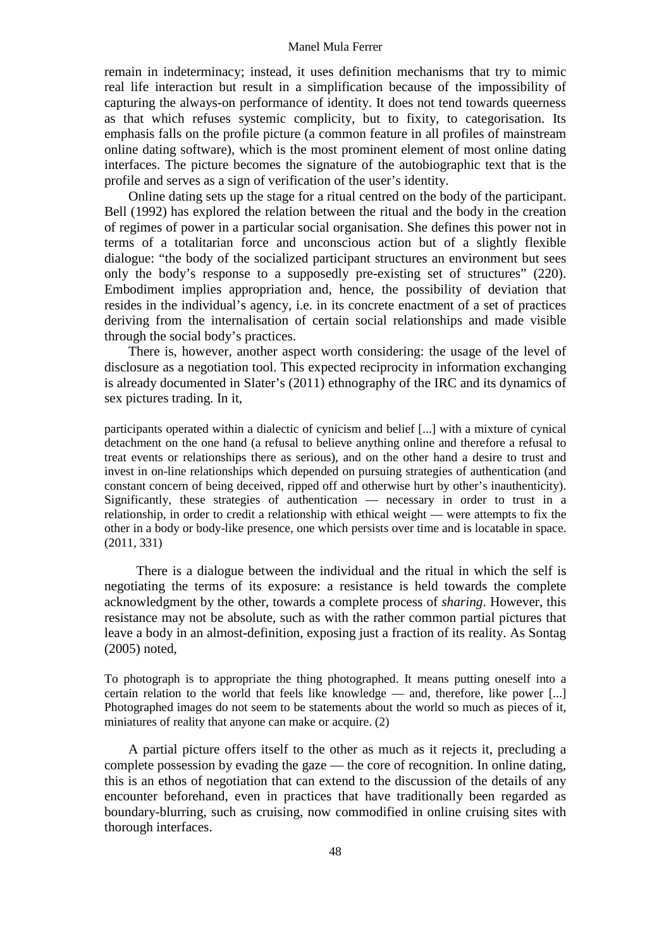#### Manel Mula Ferrer

remain in indeterminacy; instead, it uses definition mechanisms that try to mimic real life interaction but result in a simplification because of the impossibility of capturing the always-on performance of identity. It does not tend towards queerness as that which refuses systemic complicity, but to fixity, to categorisation. Its emphasis falls on the profile picture (a common feature in all profiles of mainstream online dating software), which is the most prominent element of most online dating interfaces. The picture becomes the signature of the autobiographic text that is the profile and serves as a sign of verification of the user's identity.

Online dating sets up the stage for a ritual centred on the body of the participant. Bell (1992) has explored the relation between the ritual and the body in the creation of regimes of power in a particular social organisation. She defines this power not in terms of a totalitarian force and unconscious action but of a slightly flexible dialogue: "the body of the socialized participant structures an environment but sees only the body's response to a supposedly pre-existing set of structures" (220). Embodiment implies appropriation and, hence, the possibility of deviation that resides in the individual's agency, i.e. in its concrete enactment of a set of practices deriving from the internalisation of certain social relationships and made visible through the social body's practices.

There is, however, another aspect worth considering: the usage of the level of disclosure as a negotiation tool. This expected reciprocity in information exchanging is already documented in Slater's (2011) ethnography of the IRC and its dynamics of sex pictures trading. In it,

participants operated within a dialectic of cynicism and belief [...] with a mixture of cynical detachment on the one hand (a refusal to believe anything online and therefore a refusal to treat events or relationships there as serious), and on the other hand a desire to trust and invest in on-line relationships which depended on pursuing strategies of authentication (and constant concern of being deceived, ripped off and otherwise hurt by other's inauthenticity). Significantly, these strategies of authentication — necessary in order to trust in a relationship, in order to credit a relationship with ethical weight — were attempts to fix the other in a body or body-like presence, one which persists over time and is locatable in space. (2011, 331)

There is a dialogue between the individual and the ritual in which the self is negotiating the terms of its exposure: a resistance is held towards the complete acknowledgment by the other, towards a complete process of *sharing*. However, this resistance may not be absolute, such as with the rather common partial pictures that leave a body in an almost-definition, exposing just a fraction of its reality. As Sontag (2005) noted,

To photograph is to appropriate the thing photographed. It means putting oneself into a certain relation to the world that feels like knowledge — and, therefore, like power [...] Photographed images do not seem to be statements about the world so much as pieces of it, miniatures of reality that anyone can make or acquire. (2)

A partial picture offers itself to the other as much as it rejects it, precluding a complete possession by evading the gaze — the core of recognition. In online dating, this is an ethos of negotiation that can extend to the discussion of the details of any encounter beforehand, even in practices that have traditionally been regarded as boundary-blurring, such as cruising, now commodified in online cruising sites with thorough interfaces.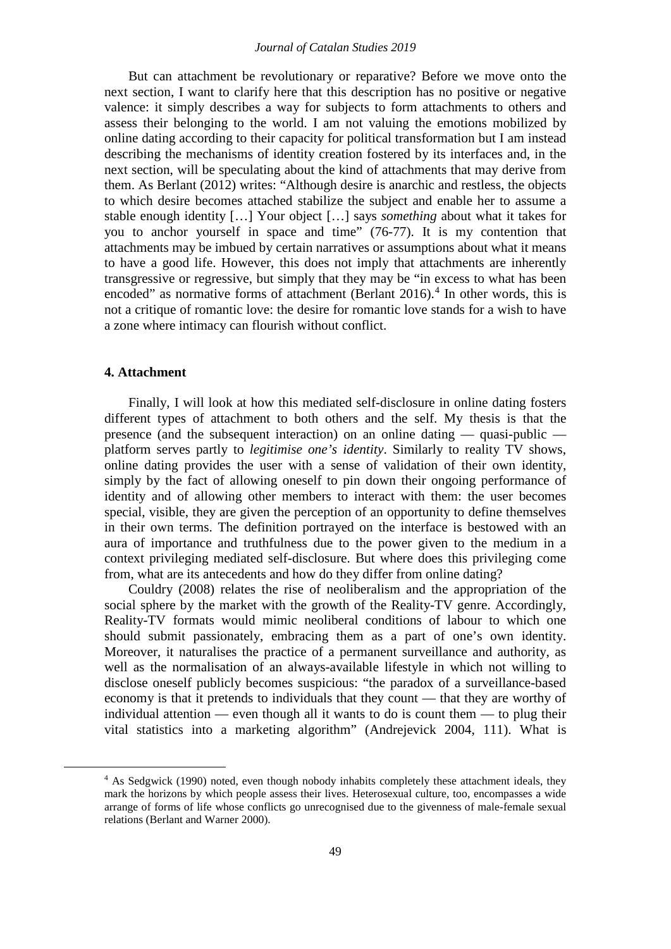### *Journal of Catalan Studies 2019*

But can attachment be revolutionary or reparative? Before we move onto the next section, I want to clarify here that this description has no positive or negative valence: it simply describes a way for subjects to form attachments to others and assess their belonging to the world. I am not valuing the emotions mobilized by online dating according to their capacity for political transformation but I am instead describing the mechanisms of identity creation fostered by its interfaces and, in the next section, will be speculating about the kind of attachments that may derive from them. As Berlant (2012) writes: "Although desire is anarchic and restless, the objects to which desire becomes attached stabilize the subject and enable her to assume a stable enough identity […] Your object […] says *something* about what it takes for you to anchor yourself in space and time" (76-77). It is my contention that attachments may be imbued by certain narratives or assumptions about what it means to have a good life. However, this does not imply that attachments are inherently transgressive or regressive, but simply that they may be "in excess to what has been encoded" as normative forms of attachment (Berlant  $2016$ ).<sup>[4](#page-4-0)</sup> In other words, this is not a critique of romantic love: the desire for romantic love stands for a wish to have a zone where intimacy can flourish without conflict.

### **4. Attachment**

<span id="page-4-0"></span>-

Finally, I will look at how this mediated self-disclosure in online dating fosters different types of attachment to both others and the self. My thesis is that the presence (and the subsequent interaction) on an online dating — quasi-public platform serves partly to *legitimise one's identity*. Similarly to reality TV shows, online dating provides the user with a sense of validation of their own identity, simply by the fact of allowing oneself to pin down their ongoing performance of identity and of allowing other members to interact with them: the user becomes special, visible, they are given the perception of an opportunity to define themselves in their own terms. The definition portrayed on the interface is bestowed with an aura of importance and truthfulness due to the power given to the medium in a context privileging mediated self-disclosure. But where does this privileging come from, what are its antecedents and how do they differ from online dating?

Couldry (2008) relates the rise of neoliberalism and the appropriation of the social sphere by the market with the growth of the Reality-TV genre. Accordingly, Reality-TV formats would mimic neoliberal conditions of labour to which one should submit passionately, embracing them as a part of one's own identity. Moreover, it naturalises the practice of a permanent surveillance and authority, as well as the normalisation of an always-available lifestyle in which not willing to disclose oneself publicly becomes suspicious: "the paradox of a surveillance-based economy is that it pretends to individuals that they count — that they are worthy of individual attention — even though all it wants to do is count them — to plug their vital statistics into a marketing algorithm" (Andrejevick 2004, 111). What is

<sup>&</sup>lt;sup>4</sup> As Sedgwick (1990) noted, even though nobody inhabits completely these attachment ideals, they mark the horizons by which people assess their lives. Heterosexual culture, too, encompasses a wide arrange of forms of life whose conflicts go unrecognised due to the givenness of male-female sexual relations (Berlant and Warner 2000).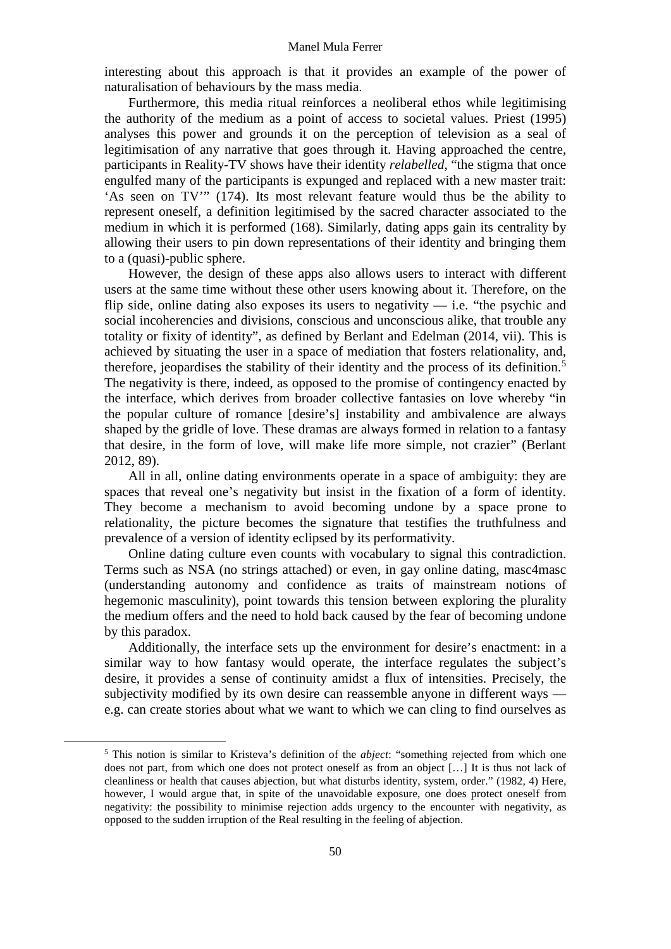interesting about this approach is that it provides an example of the power of naturalisation of behaviours by the mass media.

Furthermore, this media ritual reinforces a neoliberal ethos while legitimising the authority of the medium as a point of access to societal values. Priest (1995) analyses this power and grounds it on the perception of television as a seal of legitimisation of any narrative that goes through it. Having approached the centre, participants in Reality-TV shows have their identity *relabelled*, "the stigma that once engulfed many of the participants is expunged and replaced with a new master trait: 'As seen on TV'" (174). Its most relevant feature would thus be the ability to represent oneself, a definition legitimised by the sacred character associated to the medium in which it is performed (168). Similarly, dating apps gain its centrality by allowing their users to pin down representations of their identity and bringing them to a (quasi)-public sphere.

However, the design of these apps also allows users to interact with different users at the same time without these other users knowing about it. Therefore, on the flip side, online dating also exposes its users to negativity  $-$  i.e. "the psychic and social incoherencies and divisions, conscious and unconscious alike, that trouble any totality or fixity of identity", as defined by Berlant and Edelman (2014, vii). This is achieved by situating the user in a space of mediation that fosters relationality, and, therefore, jeopardises the stability of their identity and the process of its definition. [5](#page-5-0) The negativity is there, indeed, as opposed to the promise of contingency enacted by the interface, which derives from broader collective fantasies on love whereby "in the popular culture of romance [desire's] instability and ambivalence are always shaped by the gridle of love. These dramas are always formed in relation to a fantasy that desire, in the form of love, will make life more simple, not crazier" (Berlant 2012, 89).

All in all, online dating environments operate in a space of ambiguity: they are spaces that reveal one's negativity but insist in the fixation of a form of identity. They become a mechanism to avoid becoming undone by a space prone to relationality, the picture becomes the signature that testifies the truthfulness and prevalence of a version of identity eclipsed by its performativity.

Online dating culture even counts with vocabulary to signal this contradiction. Terms such as NSA (no strings attached) or even, in gay online dating, masc4masc (understanding autonomy and confidence as traits of mainstream notions of hegemonic masculinity), point towards this tension between exploring the plurality the medium offers and the need to hold back caused by the fear of becoming undone by this paradox.

Additionally, the interface sets up the environment for desire's enactment: in a similar way to how fantasy would operate, the interface regulates the subject's desire, it provides a sense of continuity amidst a flux of intensities. Precisely, the subjectivity modified by its own desire can reassemble anyone in different ways e.g. can create stories about what we want to which we can cling to find ourselves as

<span id="page-5-0"></span>-

<sup>5</sup> This notion is similar to Kristeva's definition of the *abject*: "something rejected from which one does not part, from which one does not protect oneself as from an object […] It is thus not lack of cleanliness or health that causes abjection, but what disturbs identity, system, order." (1982, 4) Here, however, I would argue that, in spite of the unavoidable exposure, one does protect oneself from negativity: the possibility to minimise rejection adds urgency to the encounter with negativity, as opposed to the sudden irruption of the Real resulting in the feeling of abjection.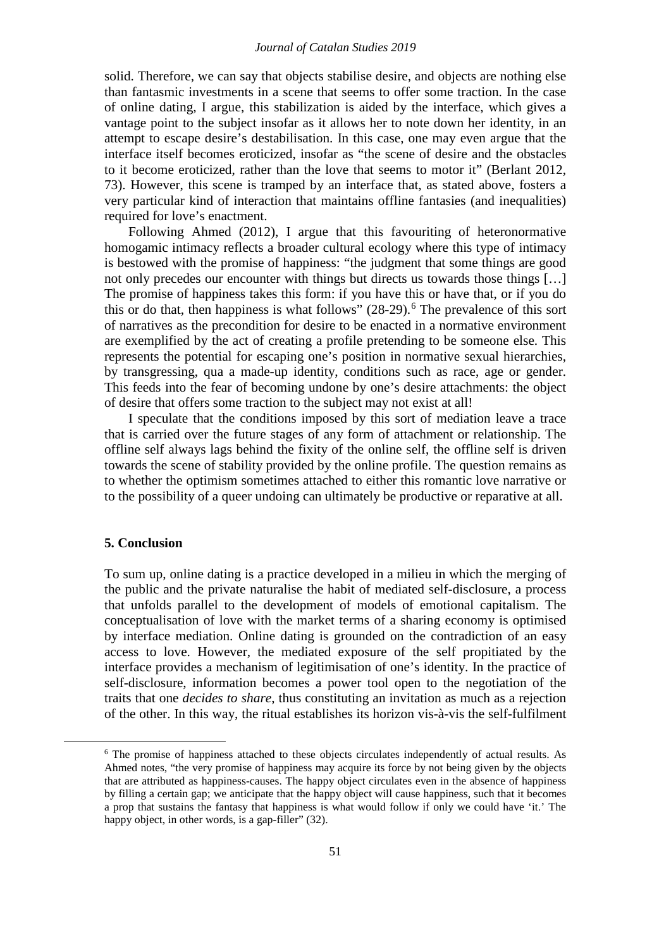### *Journal of Catalan Studies 2019*

solid. Therefore, we can say that objects stabilise desire, and objects are nothing else than fantasmic investments in a scene that seems to offer some traction. In the case of online dating, I argue, this stabilization is aided by the interface, which gives a vantage point to the subject insofar as it allows her to note down her identity, in an attempt to escape desire's destabilisation. In this case, one may even argue that the interface itself becomes eroticized, insofar as "the scene of desire and the obstacles to it become eroticized, rather than the love that seems to motor it" (Berlant 2012, 73). However, this scene is tramped by an interface that, as stated above, fosters a very particular kind of interaction that maintains offline fantasies (and inequalities) required for love's enactment.

Following Ahmed (2012), I argue that this favouriting of heteronormative homogamic intimacy reflects a broader cultural ecology where this type of intimacy is bestowed with the promise of happiness: "the judgment that some things are good not only precedes our encounter with things but directs us towards those things […] The promise of happiness takes this form: if you have this or have that, or if you do this or do that, then happiness is what follows" (28-29). [6](#page-6-0) The prevalence of this sort of narratives as the precondition for desire to be enacted in a normative environment are exemplified by the act of creating a profile pretending to be someone else. This represents the potential for escaping one's position in normative sexual hierarchies, by transgressing, qua a made-up identity, conditions such as race, age or gender. This feeds into the fear of becoming undone by one's desire attachments: the object of desire that offers some traction to the subject may not exist at all!

I speculate that the conditions imposed by this sort of mediation leave a trace that is carried over the future stages of any form of attachment or relationship. The offline self always lags behind the fixity of the online self, the offline self is driven towards the scene of stability provided by the online profile. The question remains as to whether the optimism sometimes attached to either this romantic love narrative or to the possibility of a queer undoing can ultimately be productive or reparative at all.

#### **5. Conclusion**

<span id="page-6-0"></span>-

To sum up, online dating is a practice developed in a milieu in which the merging of the public and the private naturalise the habit of mediated self-disclosure, a process that unfolds parallel to the development of models of emotional capitalism. The conceptualisation of love with the market terms of a sharing economy is optimised by interface mediation. Online dating is grounded on the contradiction of an easy access to love. However, the mediated exposure of the self propitiated by the interface provides a mechanism of legitimisation of one's identity. In the practice of self-disclosure, information becomes a power tool open to the negotiation of the traits that one *decides to share*, thus constituting an invitation as much as a rejection of the other. In this way, the ritual establishes its horizon vis-à-vis the self-fulfilment

<sup>6</sup> The promise of happiness attached to these objects circulates independently of actual results. As Ahmed notes, "the very promise of happiness may acquire its force by not being given by the objects that are attributed as happiness-causes. The happy object circulates even in the absence of happiness by filling a certain gap; we anticipate that the happy object will cause happiness, such that it becomes a prop that sustains the fantasy that happiness is what would follow if only we could have 'it.' The happy object, in other words, is a gap-filler" (32).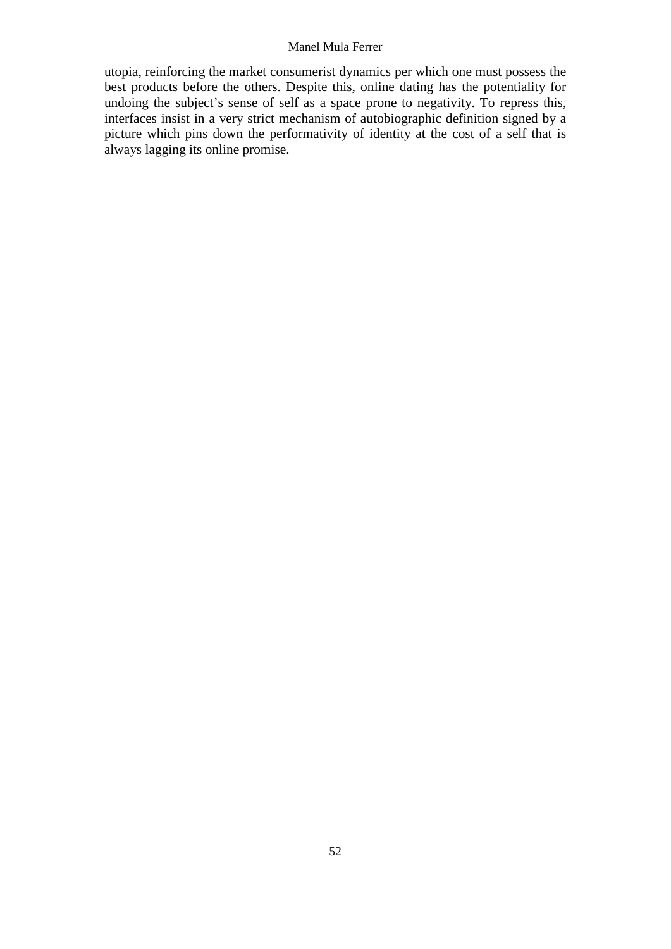# Manel Mula Ferrer

utopia, reinforcing the market consumerist dynamics per which one must possess the best products before the others. Despite this, online dating has the potentiality for undoing the subject's sense of self as a space prone to negativity. To repress this, interfaces insist in a very strict mechanism of autobiographic definition signed by a picture which pins down the performativity of identity at the cost of a self that is always lagging its online promise.